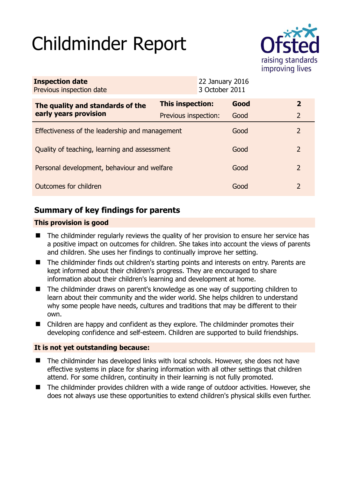# Childminder Report



| <b>Inspection date</b><br>Previous inspection date        |                      |  | 22 January 2016<br>3 October 2011 |                |
|-----------------------------------------------------------|----------------------|--|-----------------------------------|----------------|
| The quality and standards of the<br>early years provision | This inspection:     |  | Good                              | $\mathbf{2}$   |
|                                                           | Previous inspection: |  | Good                              | $\overline{2}$ |
| Effectiveness of the leadership and management            |                      |  | Good                              | 2              |
| Quality of teaching, learning and assessment              |                      |  | Good                              | $\mathcal{P}$  |
| Personal development, behaviour and welfare               |                      |  | Good                              | 2              |
| Outcomes for children                                     |                      |  | Good                              | $\mathcal{P}$  |

# **Summary of key findings for parents**

## **This provision is good**

- The childminder regularly reviews the quality of her provision to ensure her service has a positive impact on outcomes for children. She takes into account the views of parents and children. She uses her findings to continually improve her setting.
- The childminder finds out children's starting points and interests on entry. Parents are kept informed about their children's progress. They are encouraged to share information about their children's learning and development at home.
- The childminder draws on parent's knowledge as one way of supporting children to learn about their community and the wider world. She helps children to understand why some people have needs, cultures and traditions that may be different to their own.
- Children are happy and confident as they explore. The childminder promotes their developing confidence and self-esteem. Children are supported to build friendships.

## **It is not yet outstanding because:**

- The childminder has developed links with local schools. However, she does not have effective systems in place for sharing information with all other settings that children attend. For some children, continuity in their learning is not fully promoted.
- The childminder provides children with a wide range of outdoor activities. However, she does not always use these opportunities to extend children's physical skills even further.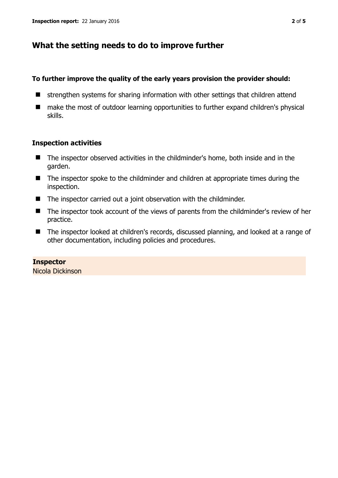# **What the setting needs to do to improve further**

#### **To further improve the quality of the early years provision the provider should:**

- $\blacksquare$  strengthen systems for sharing information with other settings that children attend
- make the most of outdoor learning opportunities to further expand children's physical skills.

#### **Inspection activities**

- The inspector observed activities in the childminder's home, both inside and in the garden.
- The inspector spoke to the childminder and children at appropriate times during the inspection.
- The inspector carried out a joint observation with the childminder.
- The inspector took account of the views of parents from the childminder's review of her practice.
- The inspector looked at children's records, discussed planning, and looked at a range of other documentation, including policies and procedures.

## **Inspector**

Nicola Dickinson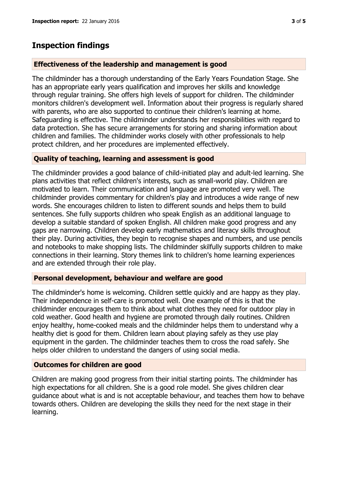# **Inspection findings**

### **Effectiveness of the leadership and management is good**

The childminder has a thorough understanding of the Early Years Foundation Stage. She has an appropriate early years qualification and improves her skills and knowledge through regular training. She offers high levels of support for children. The childminder monitors children's development well. Information about their progress is regularly shared with parents, who are also supported to continue their children's learning at home. Safeguarding is effective. The childminder understands her responsibilities with regard to data protection. She has secure arrangements for storing and sharing information about children and families. The childminder works closely with other professionals to help protect children, and her procedures are implemented effectively.

#### **Quality of teaching, learning and assessment is good**

The childminder provides a good balance of child-initiated play and adult-led learning. She plans activities that reflect children's interests, such as small-world play. Children are motivated to learn. Their communication and language are promoted very well. The childminder provides commentary for children's play and introduces a wide range of new words. She encourages children to listen to different sounds and helps them to build sentences. She fully supports children who speak English as an additional language to develop a suitable standard of spoken English. All children make good progress and any gaps are narrowing. Children develop early mathematics and literacy skills throughout their play. During activities, they begin to recognise shapes and numbers, and use pencils and notebooks to make shopping lists. The childminder skilfully supports children to make connections in their learning. Story themes link to children's home learning experiences and are extended through their role play.

#### **Personal development, behaviour and welfare are good**

The childminder's home is welcoming. Children settle quickly and are happy as they play. Their independence in self-care is promoted well. One example of this is that the childminder encourages them to think about what clothes they need for outdoor play in cold weather. Good health and hygiene are promoted through daily routines. Children enjoy healthy, home-cooked meals and the childminder helps them to understand why a healthy diet is good for them. Children learn about playing safely as they use play equipment in the garden. The childminder teaches them to cross the road safely. She helps older children to understand the dangers of using social media.

## **Outcomes for children are good**

Children are making good progress from their initial starting points. The childminder has high expectations for all children. She is a good role model. She gives children clear guidance about what is and is not acceptable behaviour, and teaches them how to behave towards others. Children are developing the skills they need for the next stage in their learning.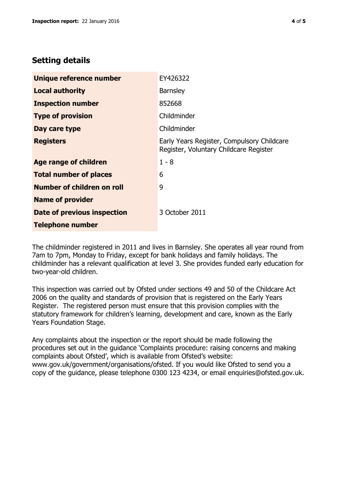# **Setting details**

| Unique reference number       | EY426322                                                                             |  |
|-------------------------------|--------------------------------------------------------------------------------------|--|
| <b>Local authority</b>        | <b>Barnsley</b>                                                                      |  |
| <b>Inspection number</b>      | 852668                                                                               |  |
| <b>Type of provision</b>      | Childminder                                                                          |  |
| Day care type                 | Childminder                                                                          |  |
| <b>Registers</b>              | Early Years Register, Compulsory Childcare<br>Register, Voluntary Childcare Register |  |
| Age range of children         | $1 - 8$                                                                              |  |
| <b>Total number of places</b> | 6                                                                                    |  |
| Number of children on roll    | 9                                                                                    |  |
| <b>Name of provider</b>       |                                                                                      |  |
| Date of previous inspection   | 3 October 2011                                                                       |  |
| <b>Telephone number</b>       |                                                                                      |  |

The childminder registered in 2011 and lives in Barnsley. She operates all year round from 7am to 7pm, Monday to Friday, except for bank holidays and family holidays. The childminder has a relevant qualification at level 3. She provides funded early education for two-year-old children.

This inspection was carried out by Ofsted under sections 49 and 50 of the Childcare Act 2006 on the quality and standards of provision that is registered on the Early Years Register. The registered person must ensure that this provision complies with the statutory framework for children's learning, development and care, known as the Early Years Foundation Stage.

Any complaints about the inspection or the report should be made following the procedures set out in the guidance 'Complaints procedure: raising concerns and making complaints about Ofsted', which is available from Ofsted's website: www.gov.uk/government/organisations/ofsted. If you would like Ofsted to send you a copy of the guidance, please telephone 0300 123 4234, or email enquiries@ofsted.gov.uk.